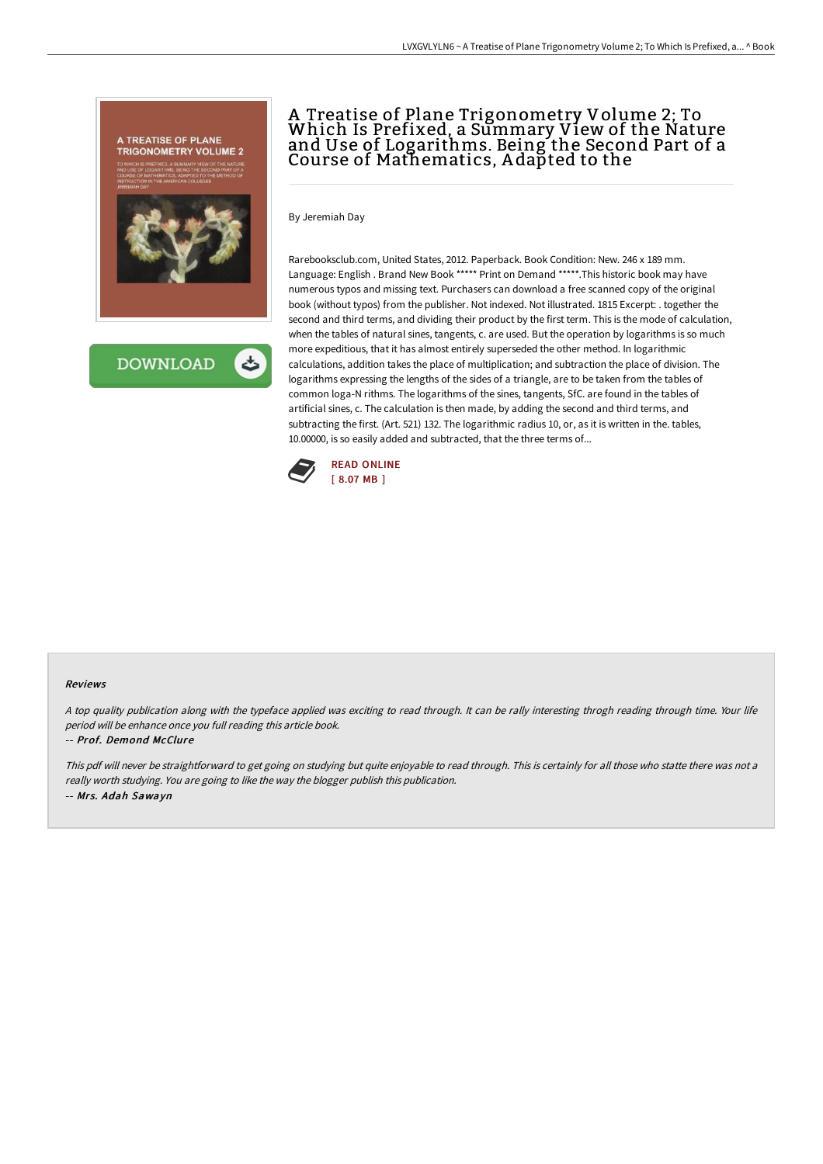

**DOWNLOAD** 

# A Treatise of Plane Trigonometry Volume 2; To Which Is Prefixed, a Summary View of the Nature and Use of Logarithms. Being the Second Part of a Course of Mathematics, A dapted to the

By Jeremiah Day

Rarebooksclub.com, United States, 2012. Paperback. Book Condition: New. 246 x 189 mm. Language: English . Brand New Book \*\*\*\*\* Print on Demand \*\*\*\*\*.This historic book may have numerous typos and missing text. Purchasers can download a free scanned copy of the original book (without typos) from the publisher. Not indexed. Not illustrated. 1815 Excerpt: . together the second and third terms, and dividing their product by the first term. This is the mode of calculation, when the tables of natural sines, tangents, c. are used. But the operation by logarithms is so much more expeditious, that it has almost entirely superseded the other method. In logarithmic calculations, addition takes the place of multiplication; and subtraction the place of division. The logarithms expressing the lengths of the sides of a triangle, are to be taken from the tables of common loga-N rithms. The logarithms of the sines, tangents, SfC. are found in the tables of artificial sines, c. The calculation is then made, by adding the second and third terms, and subtracting the first. (Art. 521) 132. The logarithmic radius 10, or, as it is written in the. tables, 10.00000, is so easily added and subtracted, that the three terms of...



#### Reviews

<sup>A</sup> top quality publication along with the typeface applied was exciting to read through. It can be rally interesting throgh reading through time. Your life period will be enhance once you full reading this article book.

#### -- Prof. Demond McClure

This pdf will never be straightforward to get going on studying but quite enjoyable to read through. This is certainly for all those who statte there was not <sup>a</sup> really worth studying. You are going to like the way the blogger publish this publication. -- Mrs. Adah Sawayn